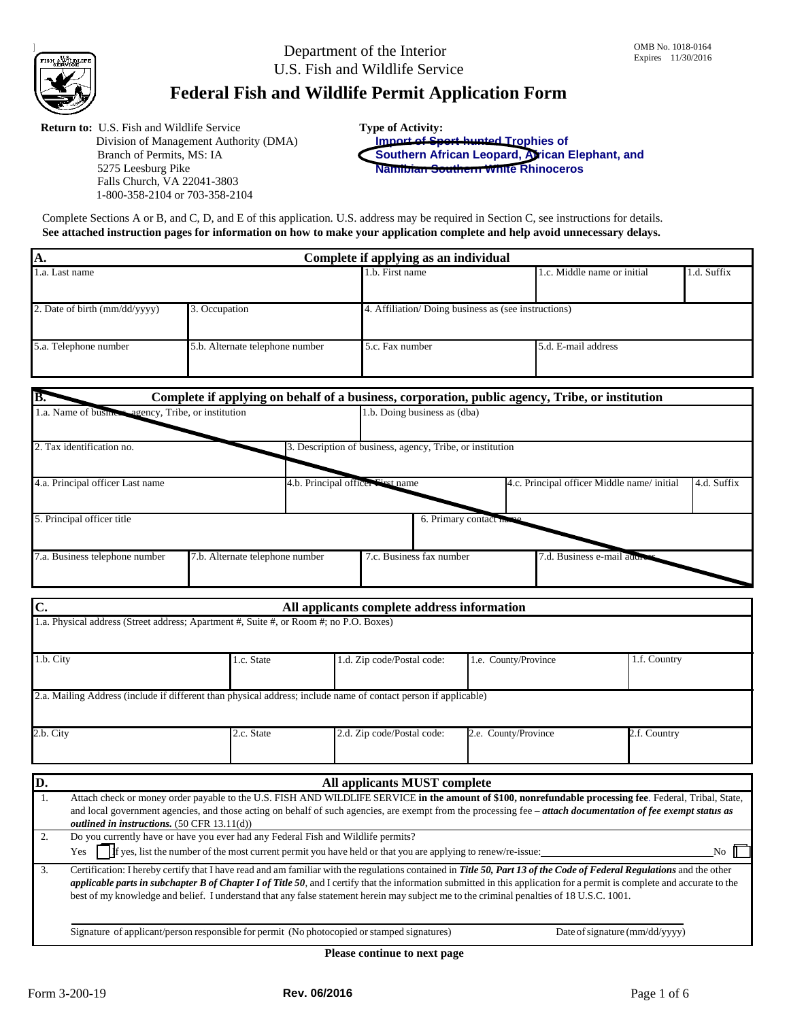Department of the Interior U.S. Fish and Wildlife Service

# **Federal Fish and Wildlife Permit Application Form**

**Return to:** U.S. Fish and Wildlife Service Division of Management Authority (DMA) Branch of Permits, MS: IA 5275 Leesburg Pike Falls Church, VA 22041-3803 1-800-358-2104 or 703-358-2104

**Type of Activity: Import of Sport-hunted Trophies of**

**Southern African Leopard, African Elephant, and Namibian Southern White Rhinoceros**

Complete Sections A or B, and C, D, and E of this application. U.S. address may be required in Section C, see instructions for details. **See attached instruction pages for information on how to make your application complete and help avoid unnecessary delays.**

| А.                            | Complete if applying as an individual |                 |                                                     |  |  |  |  |
|-------------------------------|---------------------------------------|-----------------|-----------------------------------------------------|--|--|--|--|
| 1.a. Last name                |                                       | 1.b. First name | 1.d. Suffix<br>1.c. Middle name or initial          |  |  |  |  |
| 2. Date of birth (mm/dd/yyyy) | 3. Occupation                         |                 | 4. Affiliation/Doing business as (see instructions) |  |  |  |  |
| 5.a. Telephone number         | 5.b. Alternate telephone number       | 5.c. Fax number | 5.d. E-mail address                                 |  |  |  |  |
|                               |                                       |                 |                                                     |  |  |  |  |

| IB.                                                 |                                 |                                   |                                                           | Complete if applying on behalf of a business, corporation, public agency, Tribe, or institution |             |
|-----------------------------------------------------|---------------------------------|-----------------------------------|-----------------------------------------------------------|-------------------------------------------------------------------------------------------------|-------------|
| 1.a. Name of business agency, Tribe, or institution |                                 |                                   | 1.b. Doing business as (dba)                              |                                                                                                 |             |
| 2. Tax identification no.                           |                                 |                                   | 3. Description of business, agency, Tribe, or institution |                                                                                                 |             |
| 4.a. Principal officer Last name                    |                                 | 4.b. Principal officer First name |                                                           | 4.c. Principal officer Middle name/initial                                                      | 4.d. Suffix |
| 5. Principal officer title                          |                                 |                                   | 6. Primary contact na                                     |                                                                                                 |             |
| 7.a. Business telephone number                      | 7.b. Alternate telephone number |                                   | 7.c. Business fax number                                  | 7.d. Business e-mail addre                                                                      |             |

| C.                                                                                                                         |                                                                                                                                                         |            | All applicants complete address information                                                                                                                                                                                                                                                                           |                      |                                |  |  |
|----------------------------------------------------------------------------------------------------------------------------|---------------------------------------------------------------------------------------------------------------------------------------------------------|------------|-----------------------------------------------------------------------------------------------------------------------------------------------------------------------------------------------------------------------------------------------------------------------------------------------------------------------|----------------------|--------------------------------|--|--|
|                                                                                                                            | 1.a. Physical address (Street address; Apartment #, Suite #, or Room #; no P.O. Boxes)                                                                  |            |                                                                                                                                                                                                                                                                                                                       |                      |                                |  |  |
|                                                                                                                            |                                                                                                                                                         |            |                                                                                                                                                                                                                                                                                                                       |                      |                                |  |  |
| 1.b. City                                                                                                                  |                                                                                                                                                         | 1.c. State | 1.d. Zip code/Postal code:                                                                                                                                                                                                                                                                                            | 1.e. County/Province | 1.f. Country                   |  |  |
|                                                                                                                            |                                                                                                                                                         |            |                                                                                                                                                                                                                                                                                                                       |                      |                                |  |  |
|                                                                                                                            |                                                                                                                                                         |            | 2.a. Mailing Address (include if different than physical address; include name of contact person if applicable)                                                                                                                                                                                                       |                      |                                |  |  |
|                                                                                                                            |                                                                                                                                                         |            |                                                                                                                                                                                                                                                                                                                       |                      |                                |  |  |
| 2.b. City                                                                                                                  |                                                                                                                                                         | 2.c. State | 2.d. Zip code/Postal code:                                                                                                                                                                                                                                                                                            | 2.e. County/Province | 2.f. Country                   |  |  |
|                                                                                                                            |                                                                                                                                                         |            |                                                                                                                                                                                                                                                                                                                       |                      |                                |  |  |
| D.                                                                                                                         |                                                                                                                                                         |            | All applicants MUST complete                                                                                                                                                                                                                                                                                          |                      |                                |  |  |
| 1.                                                                                                                         | Attach check or money order payable to the U.S. FISH AND WILDLIFE SERVICE in the amount of \$100, nonrefundable processing fee. Federal, Tribal, State, |            |                                                                                                                                                                                                                                                                                                                       |                      |                                |  |  |
|                                                                                                                            | outlined in instructions. (50 CFR 13.11(d))                                                                                                             |            | and local government agencies, and those acting on behalf of such agencies, are exempt from the processing fee - attach documentation of fee exempt status as                                                                                                                                                         |                      |                                |  |  |
| 2.                                                                                                                         | Do you currently have or have you ever had any Federal Fish and Wildlife permits?                                                                       |            |                                                                                                                                                                                                                                                                                                                       |                      |                                |  |  |
| If yes, list the number of the most current permit you have held or that you are applying to renew/re-issue:<br>Yes<br>No. |                                                                                                                                                         |            |                                                                                                                                                                                                                                                                                                                       |                      |                                |  |  |
| 3.                                                                                                                         |                                                                                                                                                         |            | Certification: I hereby certify that I have read and am familiar with the regulations contained in Title 50, Part 13 of the Code of Federal Regulations and the other                                                                                                                                                 |                      |                                |  |  |
|                                                                                                                            |                                                                                                                                                         |            | applicable parts in subchapter B of Chapter I of Title 50, and I certify that the information submitted in this application for a permit is complete and accurate to the<br>best of my knowledge and belief. I understand that any false statement herein may subject me to the criminal penalties of 18 U.S.C. 1001. |                      |                                |  |  |
|                                                                                                                            |                                                                                                                                                         |            |                                                                                                                                                                                                                                                                                                                       |                      |                                |  |  |
|                                                                                                                            |                                                                                                                                                         |            | Signature of applicant/person responsible for permit (No photocopied or stamped signatures)                                                                                                                                                                                                                           |                      | Date of signature (mm/dd/yyyy) |  |  |

**Please continue to next page**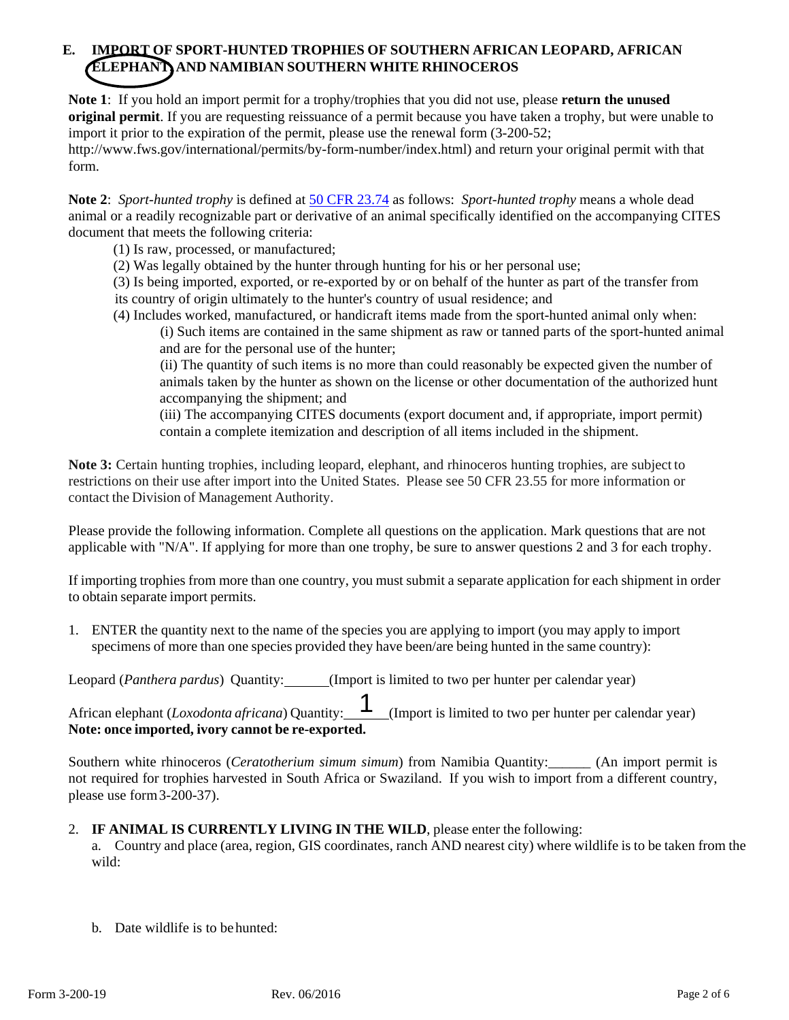# **E. IMPORT OF SPORT-HUNTED TROPHIES OF SOUTHERN AFRICAN LEOPARD, AFRICAN ELEPHANT, AND NAMIBIAN SOUTHERN WHITE RHINOCEROS**

**Note 1**: If you hold an import permit for a trophy/trophies that you did not use, please **return the unused original permit**. If you are requesting reissuance of a permit because you have taken a trophy, but were unable to import it prior to the expiration of the permit, please use the renewal form (3-200-52; [http://www.fws.gov/international/permits/by-form-number/index.html\)](http://www.fws.gov/international/permits/by-form-number/index.html)) and return your original permit with that form.

**Note 2**: *Sport-hunted trophy* is defined at [50 CFR 23.74](http://www.ecfr.gov/cgi-bin/text-idx?SID=318c55ad237f4495a926081dd5d90549&mc=true&node=se50.9.23_174&rgn=div8) as follows: *Sport-hunted trophy* means a whole dead animal or a readily recognizable part or derivative of an animal specifically identified on the accompanying CITES document that meets the following criteria:

- (1) Is raw, processed, or manufactured;
- (2) Was legally obtained by the hunter through hunting for his or her personal use;
- (3) Is being imported, exported, or re-exported by or on behalf of the hunter as part of the transfer from its country of origin ultimately to the hunter's country of usual residence; and
- (4) Includes worked, manufactured, or handicraft items made from the sport-hunted animal only when:

(i) Such items are contained in the same shipment as raw or tanned parts of the sport-hunted animal and are for the personal use of the hunter;

(ii) The quantity of such items is no more than could reasonably be expected given the number of animals taken by the hunter as shown on the license or other documentation of the authorized hunt accompanying the shipment; and

 (iii) The accompanying CITES documents (export document and, if appropriate, import permit) contain a complete itemization and description of all items included in the shipment.

**Note 3:** Certain hunting trophies, including leopard, elephant, and rhinoceros hunting trophies, are subject to restrictions on their use after import into the United States. Please see 50 CFR 23.55 for more information or contact the Division of Management Authority.

Please provide the following information. Complete all questions on the application. Mark questions that are not applicable with "N/A". If applying for more than one trophy, be sure to answer questions 2 and 3 for each trophy.

If importing trophies from more than one country, you must submit a separate application for each shipment in order to obtain separate import permits.

1. ENTER the quantity next to the name of the species you are applying to import (you may apply to import specimens of more than one species provided they have been/are being hunted in the same country):

Leopard (*Panthera pardus*) Quantity: (Import is limited to two per hunter per calendar year)

African elephant (*Loxodonta africana*) Quantity: (Import is limited to two per hunter per calendar year) **Note: once imported, ivory cannot be re-exported.** 1

Southern white rhinoceros (*Ceratotherium simum simum*) from Namibia Quantity: (An import permit is not required for trophies harvested in South Africa or Swaziland. If you wish to import from a different country, please use form 3-200-37).

# 2. **IF ANIMAL IS CURRENTLY LIVING IN THE WILD**, please enter the following:

a. Country and place (area, region, GIS coordinates, ranch AND nearest city) where wildlife is to be taken from the wild:

b. Date wildlife is to behunted: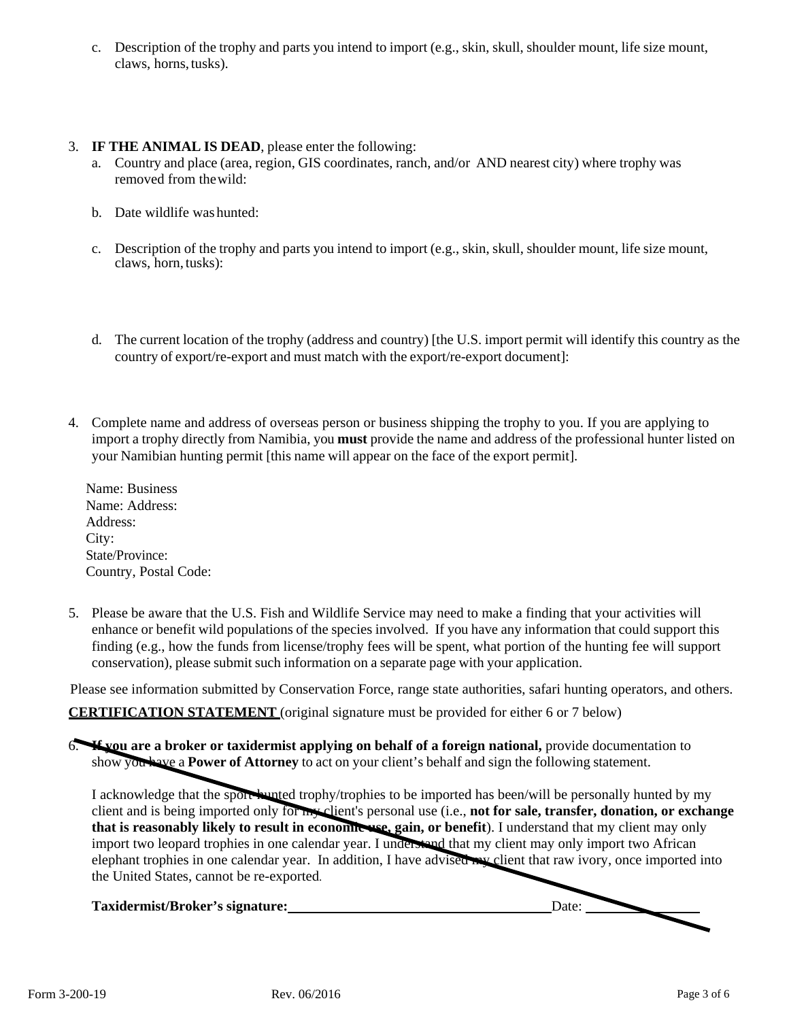c. Description of the trophy and parts you intend to import (e.g., skin, skull, shoulder mount, life size mount, claws, horns, tusks).

# 3. **IF THE ANIMAL IS DEAD**, please enter the following:

- a. Country and place (area, region, GIS coordinates, ranch, and/or AND nearest city) where trophy was removed from thewild:
- b. Date wildlife washunted:
- c. Description of the trophy and parts you intend to import (e.g., skin, skull, shoulder mount, life size mount, claws, horn,tusks):
- d. The current location of the trophy (address and country) [the U.S. import permit will identify this country as the country of export/re-export and must match with the export/re-export document]:
- 4. Complete name and address of overseas person or business shipping the trophy to you. If you are applying to import a trophy directly from Namibia, you **must** provide the name and address of the professional hunter listed on your Namibian hunting permit [this name will appear on the face of the export permit].

Name: Business Name: Address: Address: City: State/Province: Country, Postal Code:

5. Please be aware that the U.S. Fish and Wildlife Service may need to make a finding that your activities will enhance or benefit wild populations of the species involved. If you have any information that could support this finding (e.g., how the funds from license/trophy fees will be spent, what portion of the hunting fee will support conservation), please submit such information on a separate page with your application.

Please see information submitted by Conservation Force, range state authorities, safari hunting operators, and others.

**CERTIFICATION STATEMENT** (original signature must be provided for either 6 or 7 below)

6. **If you are a broker or taxidermist applying on behalf of a foreign national,** provide documentation to show you have a **Power of Attorney** to act on your client's behalf and sign the following statement.

I acknowledge that the sport-hunted trophy/trophies to be imported has been/will be personally hunted by my client and is being imported only for my client's personal use (i.e., **not for sale, transfer, donation, or exchange that is reasonably likely to result in economic use, gain, or benefit**). I understand that my client may only import two leopard trophies in one calendar year. I understand that my client may only import two African elephant trophies in one calendar year. In addition, I have advised my client that raw ivory, once imported into the United States, cannot be re-exported.

Taxidermist/Broker's signature: Date: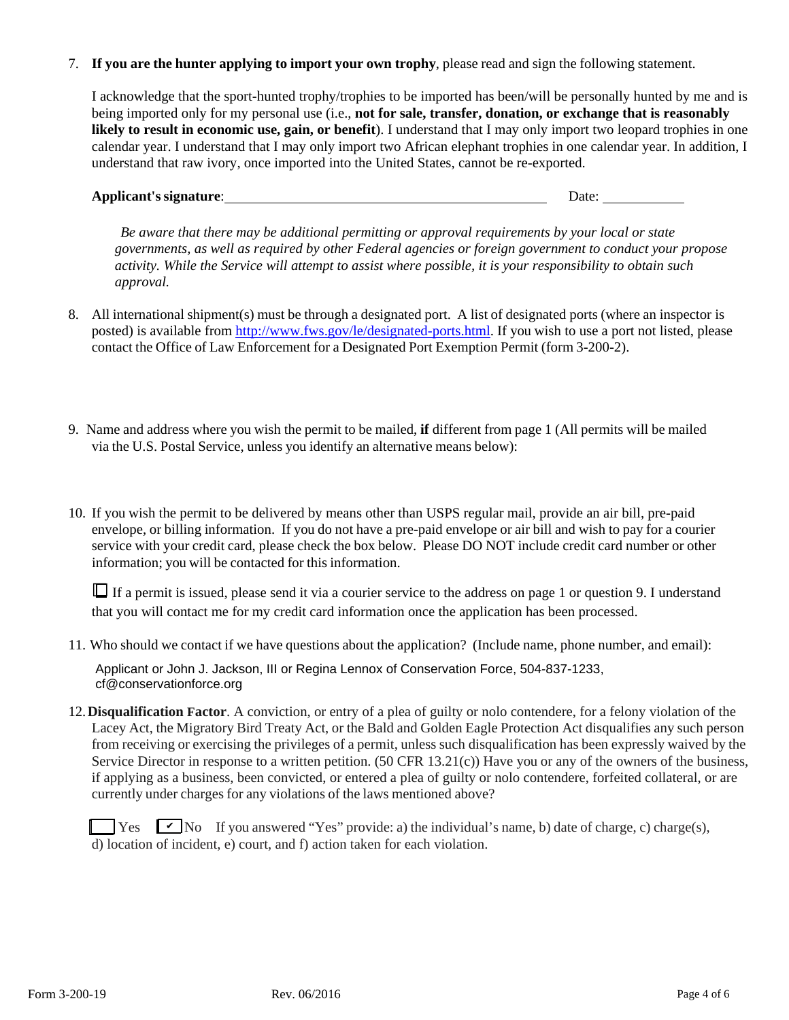# 7. **If you are the hunter applying to import your own trophy**, please read and sign the following statement.

I acknowledge that the sport-hunted trophy/trophies to be imported has been/will be personally hunted by me and is being imported only for my personal use (i.e., **not for sale, transfer, donation, or exchange that is reasonably likely to result in economic use, gain, or benefit**). I understand that I may only import two leopard trophies in one calendar year. I understand that I may only import two African elephant trophies in one calendar year. In addition, I understand that raw ivory, once imported into the United States, cannot be re-exported.

# **Applicant's signature**: Date:

*Be aware that there may be additional permitting or approval requirements by your local or state governments, as well as required by other Federal agencies or foreign government to conduct your propose activity. While the Service will attempt to assist where possible, it is your responsibility to obtain such approval.*

- 8. All international shipment(s) must be through a designated port. A list of designated ports (where an inspector is posted) is available from [http://www.fws.gov/le/designated-ports.html.](http://www.fws.gov/le/designated-ports.html) If you wish to use a port not listed, please contact the Office of Law Enforcement for a Designated Port Exemption Permit (form 3-200-2).
- 9. Name and address where you wish the permit to be mailed, **if** different from page 1 (All permits will be mailed via the U.S. Postal Service, unless you identify an alternative means below):
- 10. If you wish the permit to be delivered by means other than USPS regular mail, provide an air bill, pre-paid envelope, or billing information. If you do not have a pre-paid envelope or air bill and wish to pay for a courier service with your credit card, please check the box below. Please DO NOT include credit card number or other information; you will be contacted for this information.

■ If a permit is issued, please send it via a courier service to the address on page 1 or question 9. I understand that you will contact me for my credit card information once the application has been processed.

11. Who should we contact if we have questions about the application? (Include name, phone number, and email):

Applicant or John J. Jackson, III or Regina Lennox of Conservation Force, 504-837-1233, cf@conservationforce.org

12.**Disqualification Factor**. A conviction, or entry of a plea of guilty or nolo contendere, for a felony violation of the Lacey Act, the Migratory Bird Treaty Act, or the Bald and Golden Eagle Protection Act disqualifies any such person from receiving or exercising the privileges of a permit, unless such disqualification has been expressly waived by the Service Director in response to a written petition. (50 CFR 13.21(c)) Have you or any of the owners of the business, if applying as a business, been convicted, or entered a plea of guilty or nolo contendere, forfeited collateral, or are currently under charges for any violations of the laws mentioned above?

 $\Box$  Yes  $\Box$  No If you answered "Yes" provide: a) the individual's name, b) date of charge, c) charge(s), d) location of incident, e) court, and f) action taken for each violation.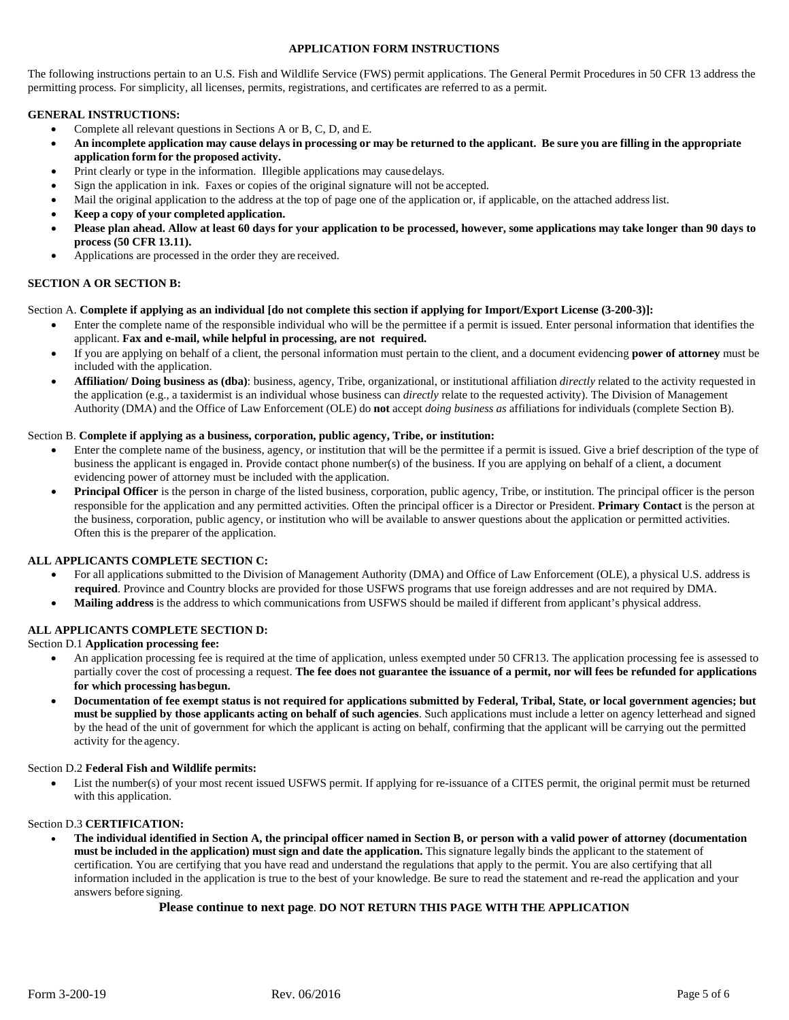#### **APPLICATION FORM INSTRUCTIONS**

The following instructions pertain to an U.S. Fish and Wildlife Service (FWS) permit applications. The General Permit Procedures i[n 50 CFR 13](http://www.access.gpo.gov/nara/cfr/waisidx_01/50cfr13_01.html) address the permitting process. For simplicity, all licenses, permits, registrations, and certificates are referred to as a permit.

### **GENERAL INSTRUCTIONS:**

- Complete all relevant questions in Sections A or B, C, D, and E.
- An incomplete application may cause delays in processing or may be returned to the applicant. Be sure you are filling in the appropriate **application form for the proposed activity.**
- Print clearly or type in the information. Illegible applications may causedelays.
- Sign the application in ink. Faxes or copies of the original signature will not be accepted.
- Mail the original application to the address at the top of page one of the application or, if applicable, on the attached address list.
- **Keep a copy of your completed application.**
- **Please plan ahead. Allow at least 60 days for your application to be processed, however, some applications may take longer than 90 days to process (50 CFR 13.11).**
- Applications are processed in the order they are received.

# **SECTION A OR SECTION B:**

### Section A. **Complete if applying as an individual [do not complete this section if applying for Import/Export License (3-200-3)]:**

- Enter the complete name of the responsible individual who will be the permittee if a permit is issued. Enter personal information that identifies the applicant. **Fax and e-mail, while helpful in processing, are not required.**
- If you are applying on behalf of a client, the personal information must pertain to the client, and a document evidencing **power of attorney** must be included with the application.
- **Affiliation/ Doing business as (dba)**: business, agency, Tribe, organizational, or institutional affiliation *directly* related to the activity requested in the application (e.g., a taxidermist is an individual whose business can *directly* relate to the requested activity). The Division of Management Authority (DMA) and the Office of Law Enforcement (OLE) do **not** accept *doing business as* affiliations for individuals (complete Section B).

#### Section B. **Complete if applying as a business, corporation, public agency, Tribe, or institution:**

- Enter the complete name of the business, agency, or institution that will be the permittee if a permit is issued. Give a brief description of the type of business the applicant is engaged in. Provide contact phone number(s) of the business. If you are applying on behalf of a client, a document evidencing power of attorney must be included with the application.
- **Principal Officer** is the person in charge of the listed business, corporation, public agency, Tribe, or institution. The principal officer is the person responsible for the application and any permitted activities. Often the principal officer is a Director or President. **Primary Contact** is the person at the business, corporation, public agency, or institution who will be available to answer questions about the application or permitted activities. Often this is the preparer of the application.

#### **ALL APPLICANTS COMPLETE SECTION C:**

- For all applications submitted to the Division of Management Authority (DMA) and Office of Law Enforcement (OLE), a physical U.S. address is **required**. Province and Country blocks are provided for those USFWS programs that use foreign addresses and are not required by DMA.
- **Mailing address** is the address to which communications from USFWS should be mailed if different from applicant's physical address.

# **ALL APPLICANTS COMPLETE SECTION D:**

#### Section D.1 **Application processing fee:**

- An application processing fee is required at the time of application, unless exempted under 50 CFR13. The application processing fee is assessed to partially cover the cost of processing a request. **The fee does not guarantee the issuance of a permit, nor will fees be refunded for applications for which processing hasbegun.**
- **Documentation of fee exempt status is not required for applications submitted by Federal, Tribal, State, or local government agencies; but must be supplied by those applicants acting on behalf of such agencies**. Such applications must include a letter on agency letterhead and signed by the head of the unit of government for which the applicant is acting on behalf, confirming that the applicant will be carrying out the permitted activity for the agency.

#### Section D.2 **Federal Fish and Wildlife permits:**

List the number(s) of your most recent issued USFWS permit. If applying for re-issuance of a CITES permit, the original permit must be returned with this application.

#### Section D.3 **CERTIFICATION:**

• **The individual identified in Section A, the principal officer named in Section B, or person with a valid power of attorney (documentation must be included in the application) must sign and date the application.** This signature legally binds the applicant to the statement of certification. You are certifying that you have read and understand the regulations that apply to the permit. You are also certifying that all information included in the application is true to the best of your knowledge. Be sure to read the statement and re-read the application and your answers before signing.

# **Please continue to next page**. **DO NOT RETURN THIS PAGE WITH THE APPLICATION**